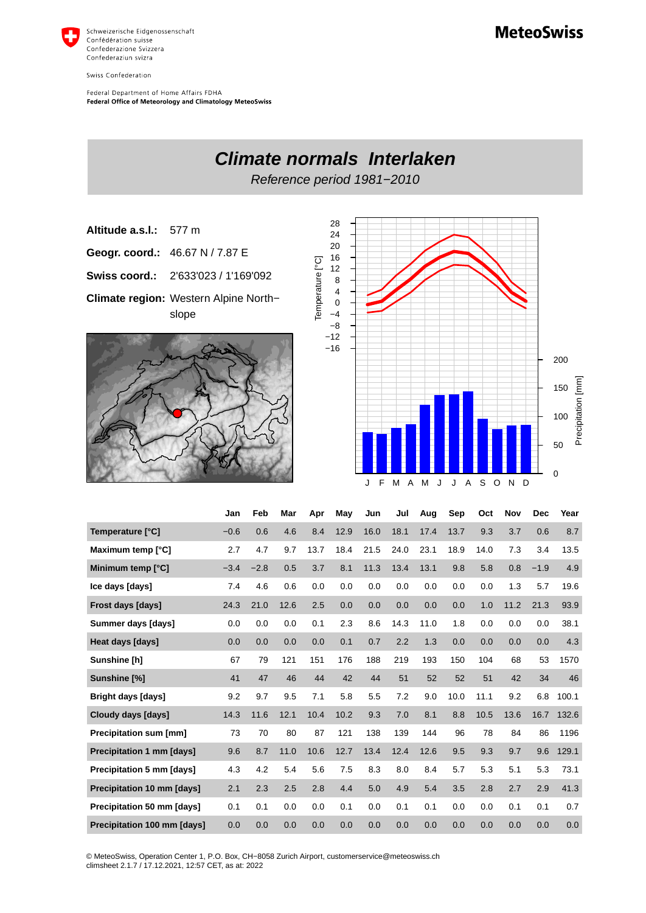

Swiss Confederation

Federal Department of Home Affairs FDHA Federal Office of Meteorology and Climatology MeteoSwiss



| Temperature [°C]                   | $-0.6$ | 0.6    | 4.6  | 8.4  | 12.9 | 16.0 | 18.1 | 17.4 | 13.7 | 9.3  | 3.7  | 0.6    | 8.7   |
|------------------------------------|--------|--------|------|------|------|------|------|------|------|------|------|--------|-------|
| Maximum temp [°C]                  | 2.7    | 4.7    | 9.7  | 13.7 | 18.4 | 21.5 | 24.0 | 23.1 | 18.9 | 14.0 | 7.3  | 3.4    | 13.5  |
| Minimum temp [°C]                  | $-3.4$ | $-2.8$ | 0.5  | 3.7  | 8.1  | 11.3 | 13.4 | 13.1 | 9.8  | 5.8  | 0.8  | $-1.9$ | 4.9   |
| Ice days [days]                    | 7.4    | 4.6    | 0.6  | 0.0  | 0.0  | 0.0  | 0.0  | 0.0  | 0.0  | 0.0  | 1.3  | 5.7    | 19.6  |
| Frost days [days]                  | 24.3   | 21.0   | 12.6 | 2.5  | 0.0  | 0.0  | 0.0  | 0.0  | 0.0  | 1.0  | 11.2 | 21.3   | 93.9  |
| Summer days [days]                 | 0.0    | 0.0    | 0.0  | 0.1  | 2.3  | 8.6  | 14.3 | 11.0 | 1.8  | 0.0  | 0.0  | 0.0    | 38.1  |
| Heat days [days]                   | 0.0    | 0.0    | 0.0  | 0.0  | 0.1  | 0.7  | 2.2  | 1.3  | 0.0  | 0.0  | 0.0  | 0.0    | 4.3   |
| Sunshine [h]                       | 67     | 79     | 121  | 151  | 176  | 188  | 219  | 193  | 150  | 104  | 68   | 53     | 1570  |
| Sunshine [%]                       | 41     | 47     | 46   | 44   | 42   | 44   | 51   | 52   | 52   | 51   | 42   | 34     | 46    |
| <b>Bright days [days]</b>          | 9.2    | 9.7    | 9.5  | 7.1  | 5.8  | 5.5  | 7.2  | 9.0  | 10.0 | 11.1 | 9.2  | 6.8    | 100.1 |
| Cloudy days [days]                 | 14.3   | 11.6   | 12.1 | 10.4 | 10.2 | 9.3  | 7.0  | 8.1  | 8.8  | 10.5 | 13.6 | 16.7   | 132.6 |
| Precipitation sum [mm]             | 73     | 70     | 80   | 87   | 121  | 138  | 139  | 144  | 96   | 78   | 84   | 86     | 1196  |
| Precipitation 1 mm [days]          | 9.6    | 8.7    | 11.0 | 10.6 | 12.7 | 13.4 | 12.4 | 12.6 | 9.5  | 9.3  | 9.7  | 9.6    | 129.1 |
| Precipitation 5 mm [days]          | 4.3    | 4.2    | 5.4  | 5.6  | 7.5  | 8.3  | 8.0  | 8.4  | 5.7  | 5.3  | 5.1  | 5.3    | 73.1  |
| Precipitation 10 mm [days]         | 2.1    | 2.3    | 2.5  | 2.8  | 4.4  | 5.0  | 4.9  | 5.4  | 3.5  | 2.8  | 2.7  | 2.9    | 41.3  |
| Precipitation 50 mm [days]         | 0.1    | 0.1    | 0.0  | 0.0  | 0.1  | 0.0  | 0.1  | 0.1  | 0.0  | 0.0  | 0.1  | 0.1    | 0.7   |
| <b>Precipitation 100 mm [days]</b> | 0.0    | 0.0    | 0.0  | 0.0  | 0.0  | 0.0  | 0.0  | 0.0  | 0.0  | 0.0  | 0.0  | 0.0    | 0.0   |

© MeteoSwiss, Operation Center 1, P.O. Box, CH-8058 Zurich Airport, customerservice@meteoswiss.ch<br>climsheet 2.1.7 / 17.12.2021, 12:57 CET, as at: 2022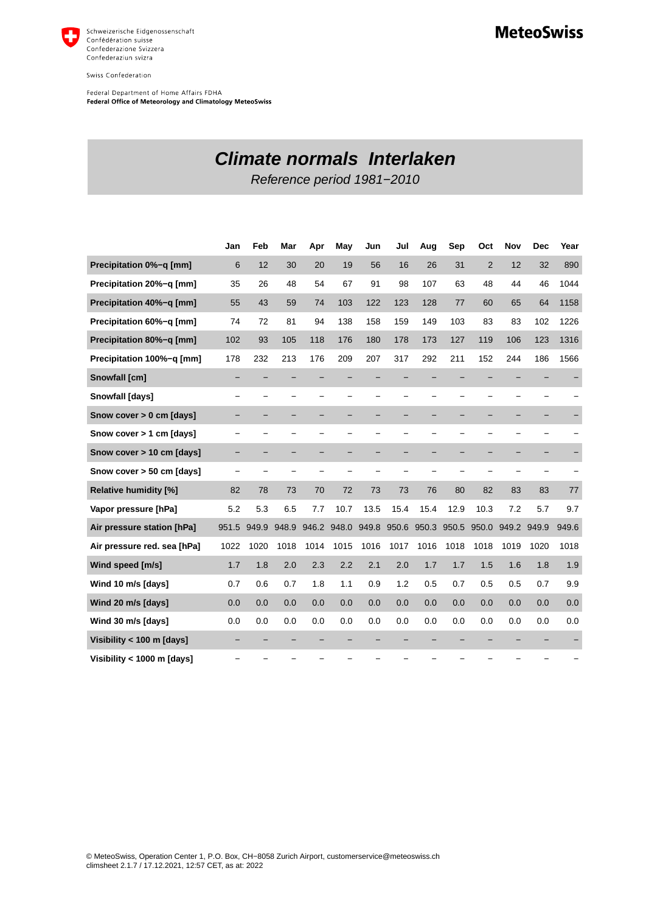

Swiss Confederation

Federal Department of Home Affairs FDHA<br>Federal Office of Meteorology and Climatology MeteoSwiss

**Climate normals Interlaken**

Reference period 1981−2010

|                              | Jan   | Feb   | Mar   | Apr   | May   | Jun   | Jul                      | Aug   | Sep   | Oct            | Nov   | <b>Dec</b> | Year  |
|------------------------------|-------|-------|-------|-------|-------|-------|--------------------------|-------|-------|----------------|-------|------------|-------|
| Precipitation 0%-g [mm]      | 6     | 12    | 30    | 20    | 19    | 56    | 16                       | 26    | 31    | $\overline{2}$ | 12    | 32         | 890   |
| Precipitation 20%-q [mm]     | 35    | 26    | 48    | 54    | 67    | 91    | 98                       | 107   | 63    | 48             | 44    | 46         | 1044  |
| Precipitation 40%-q [mm]     | 55    | 43    | 59    | 74    | 103   | 122   | 123                      | 128   | 77    | 60             | 65    | 64         | 1158  |
| Precipitation 60%-q [mm]     | 74    | 72    | 81    | 94    | 138   | 158   | 159                      | 149   | 103   | 83             | 83    | 102        | 1226  |
| Precipitation 80%-q [mm]     | 102   | 93    | 105   | 118   | 176   | 180   | 178                      | 173   | 127   | 119            | 106   | 123        | 1316  |
| Precipitation 100%-q [mm]    | 178   | 232   | 213   | 176   | 209   | 207   | 317                      | 292   | 211   | 152            | 244   | 186        | 1566  |
| Snowfall [cm]                |       |       |       |       |       |       |                          |       |       |                |       |            |       |
| Snowfall [days]              |       |       |       |       |       |       |                          |       |       |                |       |            |       |
| Snow cover > 0 cm [days]     |       |       |       |       |       |       | -                        |       |       |                |       |            |       |
| Snow cover > 1 cm [days]     |       |       |       |       |       |       | $\overline{\phantom{0}}$ |       |       |                |       |            |       |
| Snow cover > 10 cm [days]    |       |       |       |       |       |       |                          |       |       |                |       |            |       |
| Snow cover > 50 cm [days]    |       |       |       |       |       |       |                          |       |       |                |       |            |       |
| <b>Relative humidity [%]</b> | 82    | 78    | 73    | 70    | 72    | 73    | 73                       | 76    | 80    | 82             | 83    | 83         | 77    |
| Vapor pressure [hPa]         | 5.2   | 5.3   | 6.5   | 7.7   | 10.7  | 13.5  | 15.4                     | 15.4  | 12.9  | 10.3           | 7.2   | 5.7        | 9.7   |
| Air pressure station [hPa]   | 951.5 | 949.9 | 948.9 | 946.2 | 948.0 | 949.8 | 950.6                    | 950.3 | 950.5 | 950.0          | 949.2 | 949.9      | 949.6 |
| Air pressure red. sea [hPa]  | 1022  | 1020  | 1018  | 1014  | 1015  | 1016  | 1017                     | 1016  | 1018  | 1018           | 1019  | 1020       | 1018  |
| Wind speed [m/s]             | 1.7   | 1.8   | 2.0   | 2.3   | 2.2   | 2.1   | 2.0                      | 1.7   | 1.7   | 1.5            | 1.6   | 1.8        | 1.9   |
| Wind 10 m/s [days]           | 0.7   | 0.6   | 0.7   | 1.8   | 1.1   | 0.9   | 1.2                      | 0.5   | 0.7   | 0.5            | 0.5   | 0.7        | 9.9   |
| Wind 20 m/s [days]           | 0.0   | 0.0   | 0.0   | 0.0   | 0.0   | 0.0   | 0.0                      | 0.0   | 0.0   | 0.0            | 0.0   | 0.0        | 0.0   |
| Wind 30 m/s [days]           | 0.0   | 0.0   | 0.0   | 0.0   | 0.0   | 0.0   | 0.0                      | 0.0   | 0.0   | 0.0            | 0.0   | 0.0        | 0.0   |
| Visibility < 100 m [days]    |       |       |       |       |       |       |                          |       |       |                |       |            |       |
| Visibility < 1000 m [days]   |       |       |       |       |       |       |                          |       |       |                |       |            |       |